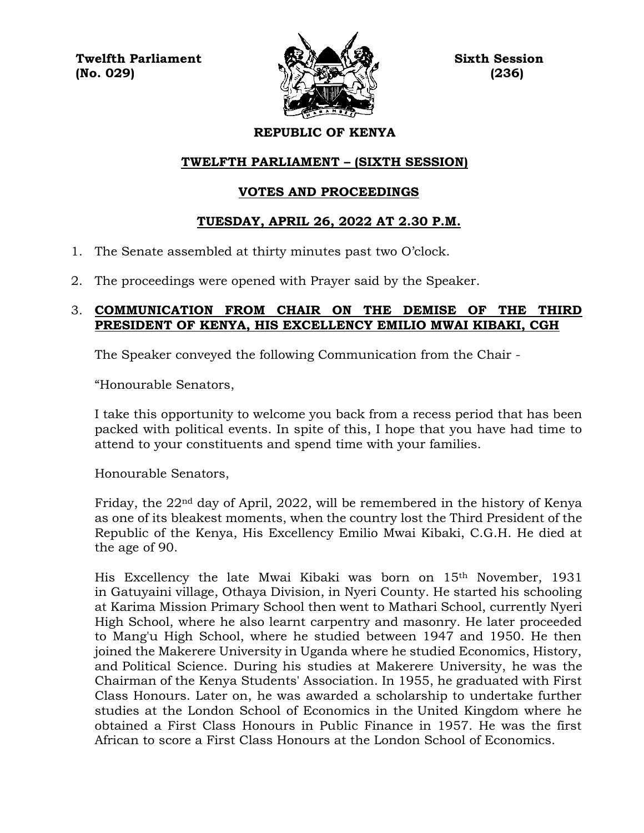**Twelfth Parliament Sixth Session**  $(No. 029)$  (236)



## **REPUBLIC OF KENYA**

# **TWELFTH PARLIAMENT – (SIXTH SESSION)**

## **VOTES AND PROCEEDINGS**

## **TUESDAY, APRIL 26, 2022 AT 2.30 P.M.**

- 1. The Senate assembled at thirty minutes past two O'clock.
- 2. The proceedings were opened with Prayer said by the Speaker.

## 3. **COMMUNICATION FROM CHAIR ON THE DEMISE OF THE THIRD PRESIDENT OF KENYA, HIS EXCELLENCY EMILIO MWAI KIBAKI, CGH**

The Speaker conveyed the following Communication from the Chair -

"Honourable Senators,

I take this opportunity to welcome you back from a recess period that has been packed with political events. In spite of this, I hope that you have had time to attend to your constituents and spend time with your families.

Honourable Senators,

Friday, the 22nd day of April, 2022, will be remembered in the history of Kenya as one of its bleakest moments, when the country lost the Third President of the Republic of the Kenya, His Excellency Emilio Mwai Kibaki, C.G.H. He died at the age of 90.

His Excellency the late Mwai Kibaki was born on 15th November, 1931 in Gatuyaini village, Othaya Division, in Nyeri County. He started his schooling at Karima Mission Primary School then went to Mathari School, currently Nyeri High School, where he also learnt carpentry and masonry. He later proceeded to Mang'u High School, where he studied between 1947 and 1950. He then joined the Makerere University in Uganda where he studied Economics, History, and Political Science. During his studies at Makerere University, he was the Chairman of the Kenya Students' Association. In 1955, he graduated with First Class Honours. Later on, he was awarded a scholarship to undertake further studies at the London School of Economics in the United Kingdom where he obtained a First Class Honours in Public Finance in 1957. He was the first African to score a First Class Honours at the London School of Economics.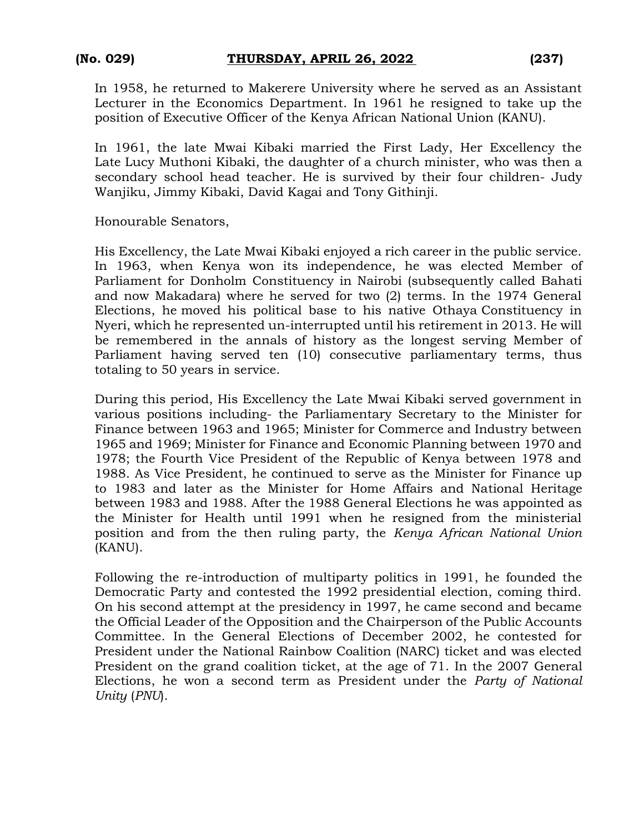In 1958, he returned to Makerere University where he served as an Assistant Lecturer in the Economics Department. In 1961 he resigned to take up the position of Executive Officer of the Kenya African National Union (KANU).

In 1961, the late Mwai Kibaki married the First Lady, Her Excellency the Late Lucy Muthoni Kibaki, the daughter of a church minister, who was then a secondary school head teacher. He is survived by their four children- Judy Wanjiku, Jimmy Kibaki, David Kagai and Tony Githinji.

Honourable Senators,

His Excellency, the Late Mwai Kibaki enjoyed a rich career in the public service. In 1963, when Kenya won its independence, he was elected Member of Parliament for Donholm Constituency in Nairobi (subsequently called Bahati and now Makadara) where he served for two (2) terms. In the 1974 General Elections, he moved his political base to his native Othaya Constituency in Nyeri, which he represented un-interrupted until his retirement in 2013. He will be remembered in the annals of history as the longest serving Member of Parliament having served ten (10) consecutive parliamentary terms, thus totaling to 50 years in service.

During this period, His Excellency the Late Mwai Kibaki served government in various positions including- the Parliamentary Secretary to the Minister for Finance between 1963 and 1965; Minister for Commerce and Industry between 1965 and 1969; Minister for Finance and Economic Planning between 1970 and 1978; the Fourth Vice President of the Republic of Kenya between 1978 and 1988. As Vice President, he continued to serve as the Minister for Finance up to 1983 and later as the Minister for Home Affairs and National Heritage between 1983 and 1988. After the 1988 General Elections he was appointed as the Minister for Health until 1991 when he resigned from the ministerial position and from the then ruling party, the *Kenya African National Union* (KANU).

Following the re-introduction of multiparty politics in 1991, he founded the Democratic Party and contested the 1992 presidential election, coming third. On his second attempt at the presidency in 1997, he came second and became the Official Leader of the Opposition and the Chairperson of the Public Accounts Committee. In the General Elections of December 2002, he contested for President under the National Rainbow Coalition (NARC) ticket and was elected President on the grand coalition ticket, at the age of 71. In the 2007 General Elections, he won a second term as President under the *Party of National Unity* (*PNU*).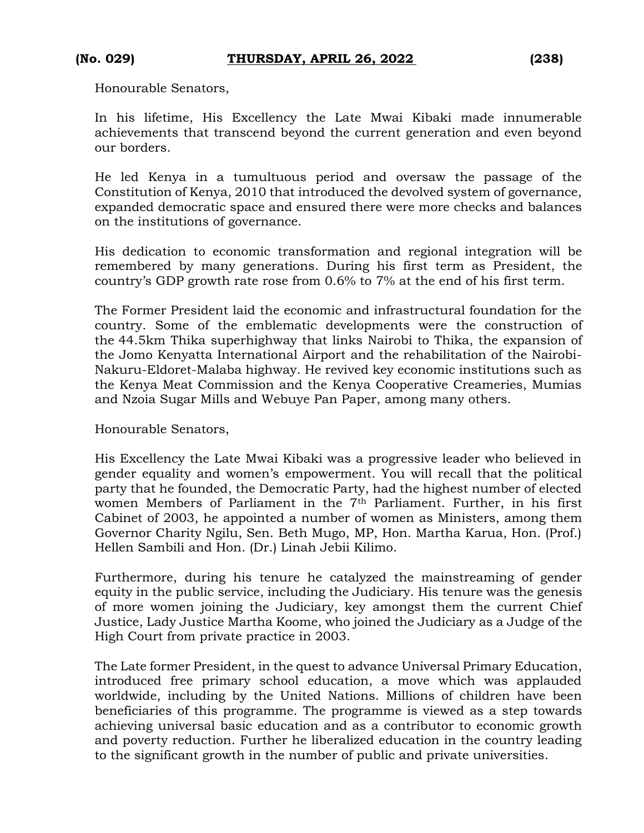Honourable Senators,

In his lifetime, His Excellency the Late Mwai Kibaki made innumerable achievements that transcend beyond the current generation and even beyond our borders.

He led Kenya in a tumultuous period and oversaw the passage of the Constitution of Kenya, 2010 that introduced the devolved system of governance, expanded democratic space and ensured there were more checks and balances on the institutions of governance.

His dedication to economic transformation and regional integration will be remembered by many generations. During his first term as President, the country's GDP growth rate rose from 0.6% to 7% at the end of his first term.

The Former President laid the economic and infrastructural foundation for the country. Some of the emblematic developments were the construction of the 44.5km Thika superhighway that links Nairobi to Thika, the expansion of the Jomo Kenyatta International Airport and the rehabilitation of the Nairobi-Nakuru-Eldoret-Malaba highway. He revived key economic institutions such as the Kenya Meat Commission and the Kenya Cooperative Creameries, Mumias and Nzoia Sugar Mills and Webuye Pan Paper, among many others.

Honourable Senators,

His Excellency the Late Mwai Kibaki was a progressive leader who believed in gender equality and women's empowerment. You will recall that the political party that he founded, the Democratic Party, had the highest number of elected women Members of Parliament in the 7<sup>th</sup> Parliament. Further, in his first Cabinet of 2003, he appointed a number of women as Ministers, among them Governor Charity Ngilu, Sen. Beth Mugo, MP, Hon. Martha Karua, Hon. (Prof.) Hellen Sambili and Hon. (Dr.) Linah Jebii Kilimo.

Furthermore, during his tenure he catalyzed the mainstreaming of gender equity in the public service, including the Judiciary. His tenure was the genesis of more women joining the Judiciary, key amongst them the current Chief Justice, Lady Justice Martha Koome, who joined the Judiciary as a Judge of the High Court from private practice in 2003.

The Late former President, in the quest to advance Universal Primary Education, introduced free primary school education, a move which was applauded worldwide, including by the United Nations. Millions of children have been beneficiaries of this programme. The programme is viewed as a step towards achieving universal basic education and as a contributor to economic growth and poverty reduction. Further he liberalized education in the country leading to the significant growth in the number of public and private universities.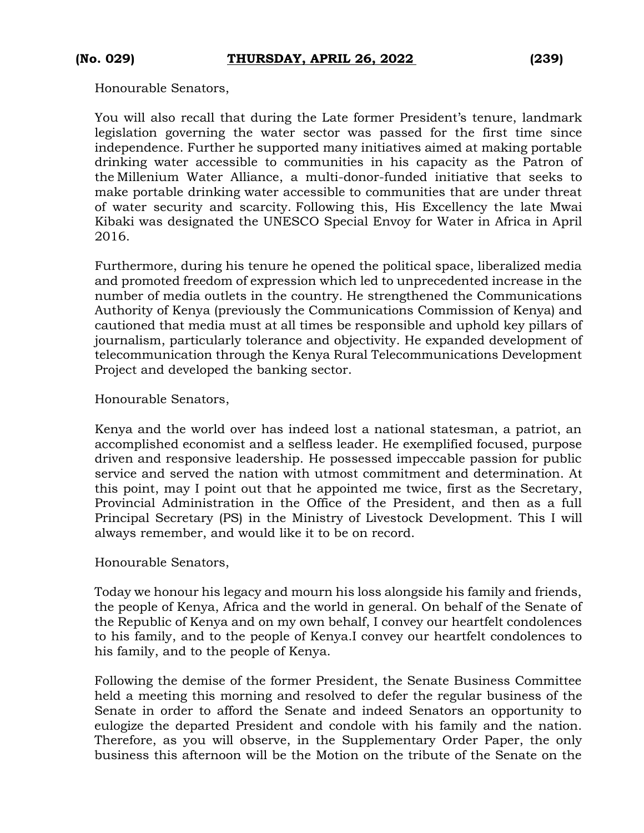Honourable Senators,

You will also recall that during the Late former President's tenure, landmark legislation governing the water sector was passed for the first time since independence. Further he supported many initiatives aimed at making portable drinking water accessible to communities in his capacity as the Patron of the Millenium Water Alliance, a multi-donor-funded initiative that seeks to make portable drinking water accessible to communities that are under threat of water security and scarcity. Following this, His Excellency the late Mwai Kibaki was designated the UNESCO Special Envoy for Water in Africa in April 2016.

Furthermore, during his tenure he opened the political space, liberalized media and promoted freedom of expression which led to unprecedented increase in the number of media outlets in the country. He strengthened the Communications Authority of Kenya (previously the Communications Commission of Kenya) and cautioned that media must at all times be responsible and uphold key pillars of journalism, particularly tolerance and objectivity. He expanded development of telecommunication through the Kenya Rural Telecommunications Development Project and developed the banking sector.

Honourable Senators,

Kenya and the world over has indeed lost a national statesman, a patriot, an accomplished economist and a selfless leader. He exemplified focused, purpose driven and responsive leadership. He possessed impeccable passion for public service and served the nation with utmost commitment and determination. At this point, may I point out that he appointed me twice, first as the Secretary, Provincial Administration in the Office of the President, and then as a full Principal Secretary (PS) in the Ministry of Livestock Development. This I will always remember, and would like it to be on record.

Honourable Senators,

Today we honour his legacy and mourn his loss alongside his family and friends, the people of Kenya, Africa and the world in general. On behalf of the Senate of the Republic of Kenya and on my own behalf, I convey our heartfelt condolences to his family, and to the people of Kenya.I convey our heartfelt condolences to his family, and to the people of Kenya.

Following the demise of the former President, the Senate Business Committee held a meeting this morning and resolved to defer the regular business of the Senate in order to afford the Senate and indeed Senators an opportunity to eulogize the departed President and condole with his family and the nation. Therefore, as you will observe, in the Supplementary Order Paper, the only business this afternoon will be the Motion on the tribute of the Senate on the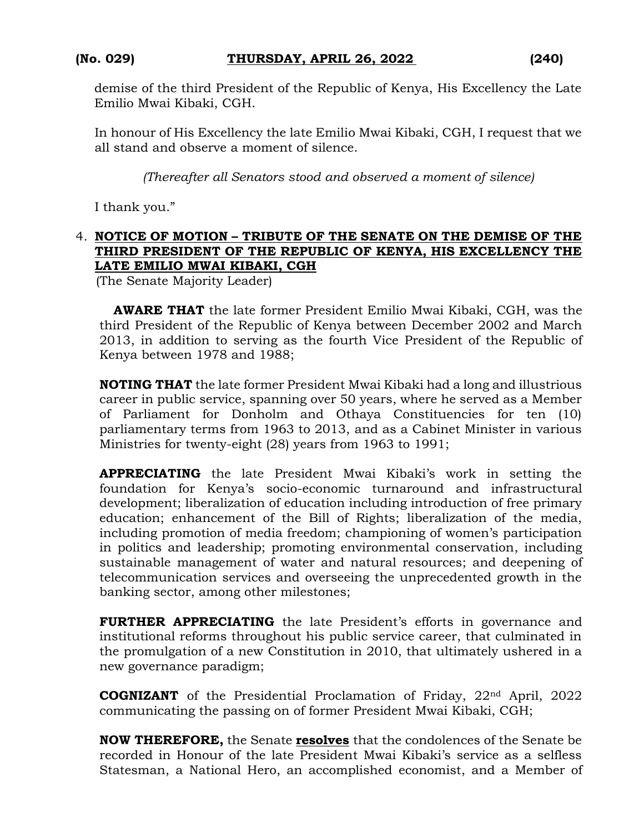demise of the third President of the Republic of Kenya, His Excellency the Late Emilio Mwai Kibaki, CGH.

In honour of His Excellency the late Emilio Mwai Kibaki, CGH, I request that we all stand and observe a moment of silence.

*(Thereafter all Senators stood and observed a moment of silence)*

I thank you."

## 4. **NOTICE OF MOTION – TRIBUTE OF THE SENATE ON THE DEMISE OF THE THIRD PRESIDENT OF THE REPUBLIC OF KENYA, HIS EXCELLENCY THE LATE EMILIO MWAI KIBAKI, CGH**

(The Senate Majority Leader)

**AWARE THAT** the late former President Emilio Mwai Kibaki, CGH, was the third President of the Republic of Kenya between December 2002 and March 2013, in addition to serving as the fourth Vice President of the Republic of Kenya between 1978 and 1988;

**NOTING THAT** the late former President Mwai Kibaki had a long and illustrious career in public service, spanning over 50 years, where he served as a Member of Parliament for Donholm and Othaya Constituencies for ten (10) parliamentary terms from 1963 to 2013, and as a Cabinet Minister in various Ministries for twenty-eight (28) years from 1963 to 1991;

**APPRECIATING** the late President Mwai Kibaki's work in setting the foundation for Kenya's socio-economic turnaround and infrastructural development; liberalization of education including introduction of free primary education; enhancement of the Bill of Rights; liberalization of the media, including promotion of media freedom; championing of women's participation in politics and leadership; promoting environmental conservation, including sustainable management of water and natural resources; and deepening of telecommunication services and overseeing the unprecedented growth in the banking sector, among other milestones;

**FURTHER APPRECIATING** the late President's efforts in governance and institutional reforms throughout his public service career, that culminated in the promulgation of a new Constitution in 2010, that ultimately ushered in a new governance paradigm;

**COGNIZANT** of the Presidential Proclamation of Friday, 22<sup>nd</sup> April, 2022 communicating the passing on of former President Mwai Kibaki, CGH;

**NOW THEREFORE,** the Senate **resolves** that the condolences of the Senate be recorded in Honour of the late President Mwai Kibaki's service as a selfless Statesman, a National Hero, an accomplished economist, and a Member of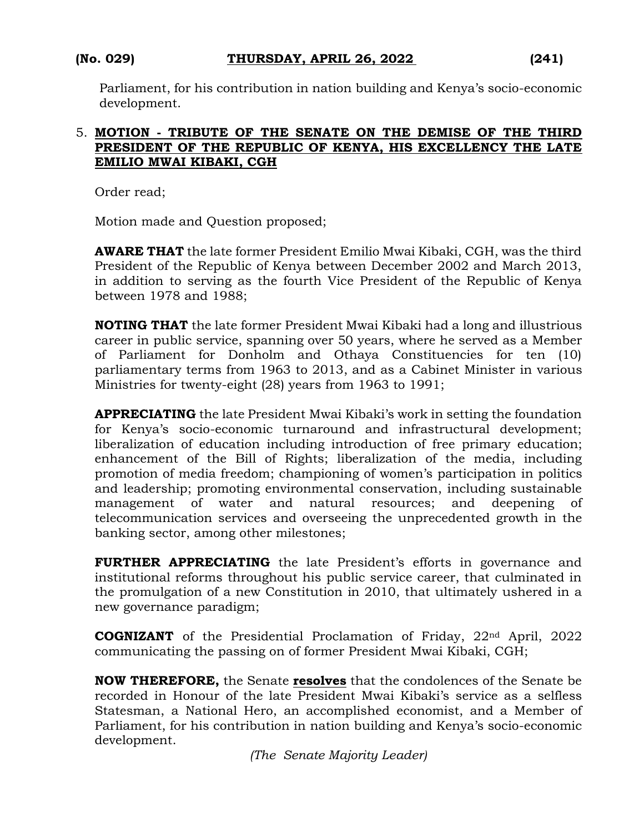Parliament, for his contribution in nation building and Kenya's socio-economic development.

## 5. **MOTION - TRIBUTE OF THE SENATE ON THE DEMISE OF THE THIRD PRESIDENT OF THE REPUBLIC OF KENYA, HIS EXCELLENCY THE LATE EMILIO MWAI KIBAKI, CGH**

Order read;

Motion made and Question proposed;

**AWARE THAT** the late former President Emilio Mwai Kibaki, CGH, was the third President of the Republic of Kenya between December 2002 and March 2013, in addition to serving as the fourth Vice President of the Republic of Kenya between 1978 and 1988;

**NOTING THAT** the late former President Mwai Kibaki had a long and illustrious career in public service, spanning over 50 years, where he served as a Member of Parliament for Donholm and Othaya Constituencies for ten (10) parliamentary terms from 1963 to 2013, and as a Cabinet Minister in various Ministries for twenty-eight (28) years from 1963 to 1991;

**APPRECIATING** the late President Mwai Kibaki's work in setting the foundation for Kenya's socio-economic turnaround and infrastructural development; liberalization of education including introduction of free primary education; enhancement of the Bill of Rights; liberalization of the media, including promotion of media freedom; championing of women's participation in politics and leadership; promoting environmental conservation, including sustainable management of water and natural resources; and deepening of telecommunication services and overseeing the unprecedented growth in the banking sector, among other milestones;

**FURTHER APPRECIATING** the late President's efforts in governance and institutional reforms throughout his public service career, that culminated in the promulgation of a new Constitution in 2010, that ultimately ushered in a new governance paradigm;

**COGNIZANT** of the Presidential Proclamation of Friday, 22nd April, 2022 communicating the passing on of former President Mwai Kibaki, CGH;

**NOW THEREFORE,** the Senate **resolves** that the condolences of the Senate be recorded in Honour of the late President Mwai Kibaki's service as a selfless Statesman, a National Hero, an accomplished economist, and a Member of Parliament, for his contribution in nation building and Kenya's socio-economic development.

*(The Senate Majority Leader)*